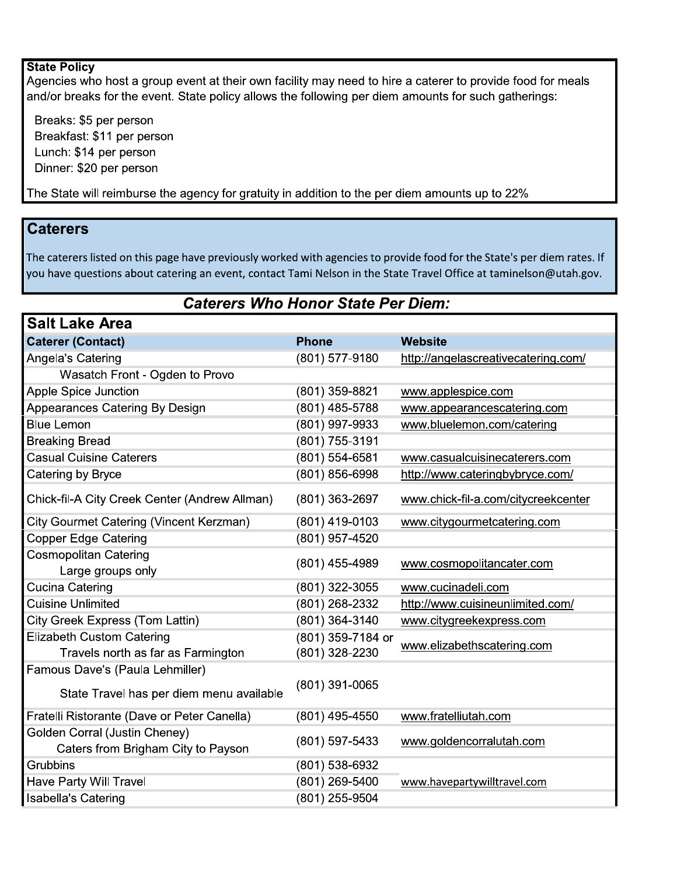## **State Policy**

Agencies who host a group event at their own facility may need to hire a caterer to provide food for meals and/or breaks for the event. State policy allows the following per diem amounts for such gatherings:

Breaks: \$5 per person Breakfast: \$11 per person Lunch: \$14 per person Dinner: \$20 per person

The State will reimburse the agency for gratuity in addition to the per diem amounts up to 22%

## **Caterers**

The caterers listed on this page have previously worked with agencies to provide food for the State's per diem rates. If you have questions about catering an event, contact Tami Nelson in the State Travel Office at taminelson@utah.gov.

## **Caterers Who Honor State Per Diem:**

| <b>Phone</b>       | <b>Website</b>                      |
|--------------------|-------------------------------------|
| (801) 577-9180     | http://angelascreativecatering.com/ |
|                    |                                     |
| (801) 359-8821     | www.applespice.com                  |
| (801) 485-5788     | www.appearancescatering.com         |
| (801) 997-9933     | www.bluelemon.com/catering          |
| (801) 755-3191     |                                     |
| $(801) 554 - 6581$ | www.casualcuisinecaterers.com       |
| (801) 856-6998     | http://www.cateringbybryce.com/     |
| (801) 363-2697     | www.chick-fil-a.com/citycreekcenter |
| (801) 419-0103     | www.citygourmetcatering.com         |
| (801) 957-4520     |                                     |
|                    | www.cosmopolitancater.com           |
|                    |                                     |
| (801) 322-3055     | www.cucinadeli.com                  |
| (801) 268-2332     | http://www.cuisineunlimited.com/    |
| (801) 364-3140     | www.citygreekexpress.com            |
| (801) 359-7184 or  | www.elizabethscatering.com          |
| (801) 328-2230     |                                     |
|                    |                                     |
| (801) 391-0065     |                                     |
| (801) 495-4550     | www.fratelliutah.com                |
|                    | www.goldencorralutah.com            |
|                    |                                     |
| $(801) 538 - 6932$ |                                     |
| (801) 269-5400     | www.havepartywilltravel.com         |
| (801) 255-9504     |                                     |
|                    | (801) 455-4989<br>(801) 597-5433    |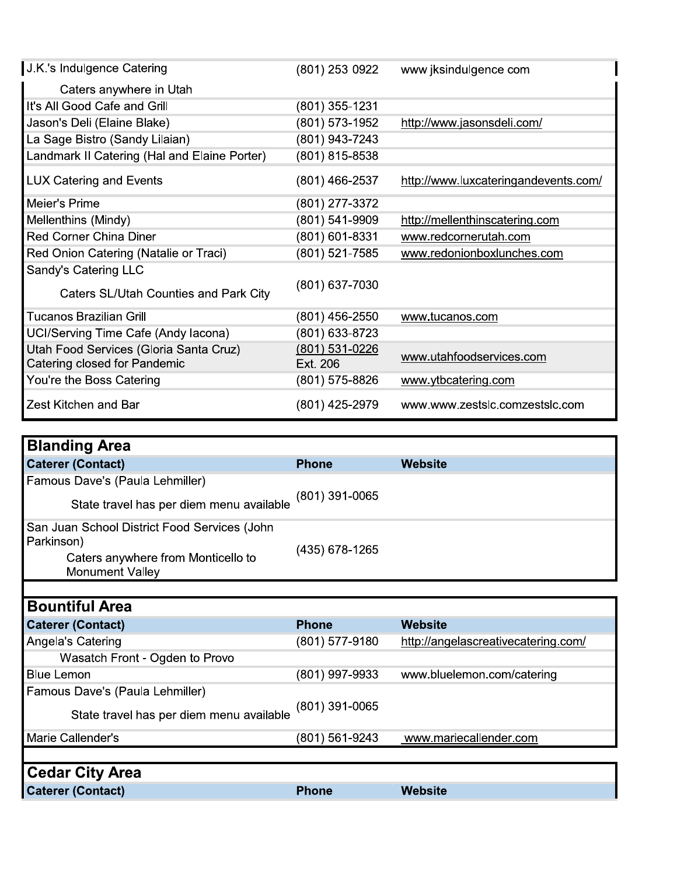| <b>Caterer (Contact)</b><br>Famous Dave's (Paula Lehmiller)          | <b>Phone</b>   | <b>Website</b>                       |
|----------------------------------------------------------------------|----------------|--------------------------------------|
| <b>Blanding Area</b>                                                 |                |                                      |
|                                                                      |                |                                      |
| Zest Kitchen and Bar                                                 | (801) 425-2979 | www.www.zestslc.comzestslc.com       |
| You're the Boss Catering                                             | (801) 575-8826 | www.ytbcatering.com                  |
| Catering closed for Pandemic                                         | Ext. 206       |                                      |
| Utah Food Services (Gloria Santa Cruz)                               | (801) 531-0226 | www.utahfoodservices.com             |
| UCI/Serving Time Cafe (Andy lacona)                                  | (801) 633-8723 |                                      |
| Tucanos Brazilian Grill                                              | (801) 456-2550 | www.tucanos.com                      |
| Sandy's Catering LLC<br><b>Caters SL/Utah Counties and Park City</b> | (801) 637-7030 |                                      |
| Red Onion Catering (Natalie or Traci)                                | (801) 521-7585 | www.redonionboxlunches.com           |
| <b>Red Corner China Diner</b>                                        | (801) 601-8331 | www.redcornerutah.com                |
| Mellenthins (Mindy)                                                  | (801) 541-9909 | http://mellenthinscatering.com       |
| Meier's Prime                                                        | (801) 277-3372 |                                      |
| <b>LUX Catering and Events</b>                                       | (801) 466-2537 | http://www.luxcateringandevents.com/ |
| Landmark II Catering (Hal and Elaine Porter)                         | (801) 815-8538 |                                      |
| La Sage Bistro (Sandy Lilaian)                                       | (801) 943-7243 |                                      |
| Jason's Deli (Elaine Blake)                                          | (801) 573-1952 | http://www.jasonsdeli.com/           |
| It's All Good Cafe and Grill                                         | (801) 355-1231 |                                      |
| Caters anywhere in Utah                                              |                |                                      |
| J.K.'s Indulgence Catering                                           | (801) 253 0922 | www jksindulgence com                |

| <b>Blanding Area</b>                                         |                |                                     |
|--------------------------------------------------------------|----------------|-------------------------------------|
| <b>Caterer (Contact)</b>                                     | <b>Phone</b>   | Website                             |
| Famous Dave's (Paula Lehmiller)                              |                |                                     |
| State travel has per diem menu available                     | (801) 391-0065 |                                     |
| San Juan School District Food Services (John<br>Parkinson)   |                |                                     |
| Caters anywhere from Monticello to<br><b>Monument Valley</b> | (435) 678-1265 |                                     |
|                                                              |                |                                     |
| <b>Bountiful Area</b>                                        |                |                                     |
| <b>Caterer (Contact)</b>                                     | <b>Phone</b>   | <b>Website</b>                      |
| Angela's Catering                                            | (801) 577-9180 | http://angelascreativecatering.com/ |
| Wasatch Front - Ogden to Provo                               |                |                                     |
| <b>Blue Lemon</b>                                            | (801) 997-9933 | www.bluelemon.com/catering          |
| Famous Dave's (Paula Lehmiller)                              |                |                                     |
| State travel has per diem menu available                     | (801) 391-0065 |                                     |
| Marie Callender's                                            | (801) 561-9243 | www.mariecallender.com              |
|                                                              |                |                                     |
| <b>Cedar City Area</b>                                       |                |                                     |
| <b>Caterer (Contact)</b>                                     | <b>Phone</b>   | <b>Website</b>                      |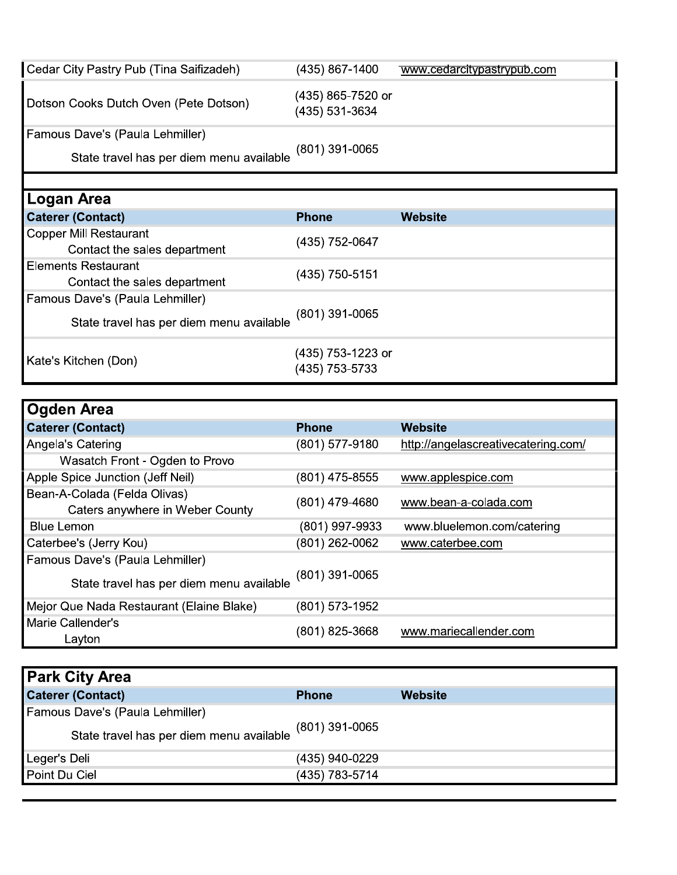| Cedar City Pastry Pub (Tina Saifizadeh)                                     | (435) 867-1400                      | www.cedarcitypastrypub.com |
|-----------------------------------------------------------------------------|-------------------------------------|----------------------------|
| Dotson Cooks Dutch Oven (Pete Dotson)                                       | (435) 865-7520 or<br>(435) 531-3634 |                            |
| Famous Dave's (Paula Lehmiller)<br>State travel has per diem menu available | (801) 391-0065                      |                            |

| Logan Area                                                    |                                     |         |
|---------------------------------------------------------------|-------------------------------------|---------|
| <b>Caterer (Contact)</b>                                      | <b>Phone</b>                        | Website |
| <b>Copper Mill Restaurant</b><br>Contact the sales department | (435) 752-0647                      |         |
| <b>Elements Restaurant</b><br>Contact the sales department    | (435) 750-5151                      |         |
| Famous Dave's (Paula Lehmiller)                               |                                     |         |
| State travel has per diem menu available                      | $(801)$ 391-0065                    |         |
| Kate's Kitchen (Don)                                          | (435) 753-1223 or<br>(435) 753-5733 |         |

| <b>Ogden Area</b>                                                           |                |                                     |
|-----------------------------------------------------------------------------|----------------|-------------------------------------|
| <b>Caterer (Contact)</b>                                                    | <b>Phone</b>   | Website                             |
| Angela's Catering                                                           | (801) 577-9180 | http://angelascreativecatering.com/ |
| Wasatch Front - Ogden to Provo                                              |                |                                     |
| Apple Spice Junction (Jeff Neil)                                            | (801) 475-8555 | www.applespice.com                  |
| Bean-A-Colada (Felda Olivas)<br>Caters anywhere in Weber County             | (801) 479-4680 | www.bean-a-colada.com               |
| <b>Blue Lemon</b>                                                           | (801) 997-9933 | www.bluelemon.com/catering          |
| Caterbee's (Jerry Kou)                                                      | (801) 262-0062 | www.caterbee.com                    |
| Famous Dave's (Paula Lehmiller)<br>State travel has per diem menu available | (801) 391-0065 |                                     |
| Mejor Que Nada Restaurant (Elaine Blake)                                    | (801) 573-1952 |                                     |
| Marie Callender's<br>Layton                                                 | (801) 825-3668 | www.mariecallender.com              |

| <b>Park City Area</b>                                                       |                |         |
|-----------------------------------------------------------------------------|----------------|---------|
| <b>Caterer (Contact)</b>                                                    | <b>Phone</b>   | Website |
| Famous Dave's (Paula Lehmiller)<br>State travel has per diem menu available | (801) 391-0065 |         |
| Leger's Deli                                                                | (435) 940-0229 |         |
| Point Du Ciel                                                               | (435) 783-5714 |         |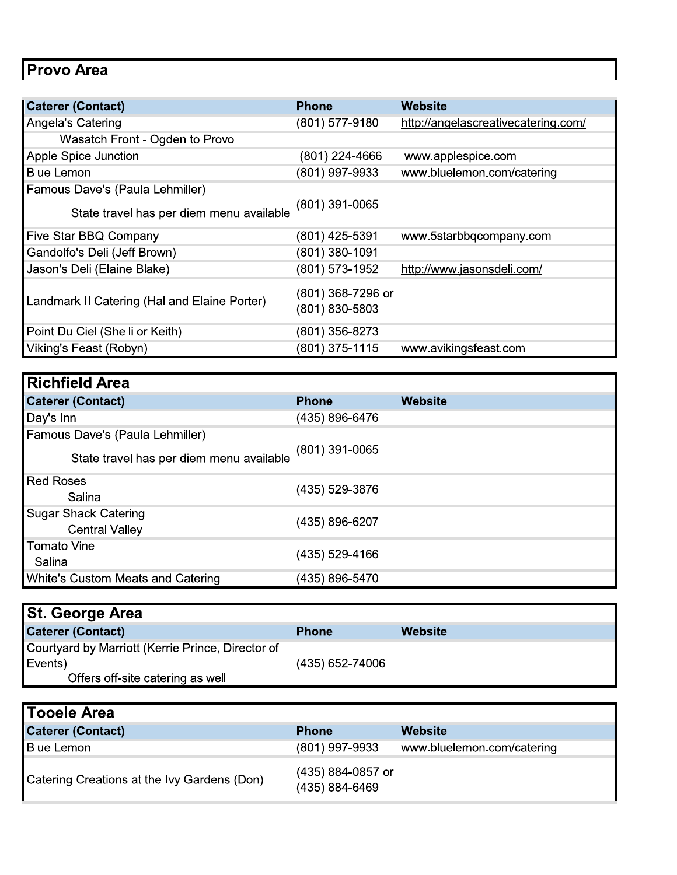## Provo Area

| <b>Caterer (Contact)</b>                     | <b>Phone</b>                          | <b>Website</b>                      |
|----------------------------------------------|---------------------------------------|-------------------------------------|
| Angela's Catering                            | (801) 577-9180                        | http://angelascreativecatering.com/ |
| Wasatch Front - Ogden to Provo               |                                       |                                     |
| Apple Spice Junction                         | (801) 224-4666                        | www.applespice.com                  |
| <b>Blue Lemon</b>                            | (801) 997-9933                        | www.bluelemon.com/catering          |
| Famous Dave's (Paula Lehmiller)              |                                       |                                     |
| State travel has per diem menu available     | (801) 391-0065                        |                                     |
| Five Star BBQ Company                        | (801) 425-5391                        | www.5starbbqcompany.com             |
| Gandolfo's Deli (Jeff Brown)                 | (801) 380-1091                        |                                     |
| Jason's Deli (Elaine Blake)                  | (801) 573-1952                        | http://www.jasonsdeli.com/          |
| Landmark II Catering (Hal and Elaine Porter) | $(801)$ 368-7296 or<br>(801) 830-5803 |                                     |
| Point Du Ciel (Shelli or Keith)              | (801) 356-8273                        |                                     |
| Viking's Feast (Robyn)                       | (801) 375-1115                        | www.avikingsfeast.com               |

| <b>Richfield Area</b>                    |                |                |
|------------------------------------------|----------------|----------------|
| <b>Caterer (Contact)</b>                 | <b>Phone</b>   | <b>Website</b> |
| Day's Inn                                | (435) 896-6476 |                |
| Famous Dave's (Paula Lehmiller)          |                |                |
| State travel has per diem menu available | (801) 391-0065 |                |
| <b>Red Roses</b>                         | (435) 529-3876 |                |
| Salina                                   |                |                |
| <b>Sugar Shack Catering</b>              | (435) 896-6207 |                |
| <b>Central Valley</b>                    |                |                |
| Tomato Vine                              | (435) 529-4166 |                |
| Salina                                   |                |                |
| White's Custom Meats and Catering        | (435) 896-5470 |                |

| <b>St. George Area</b>                            |                 |         |
|---------------------------------------------------|-----------------|---------|
| <b>Caterer (Contact)</b>                          | <b>Phone</b>    | Website |
| Courtyard by Marriott (Kerrie Prince, Director of |                 |         |
| Events)                                           | (435) 652-74006 |         |
| Offers off-site catering as well                  |                 |         |

| <b>Tooele Area</b>                          |                                     |                            |
|---------------------------------------------|-------------------------------------|----------------------------|
| <b>Caterer (Contact)</b>                    | <b>Phone</b>                        | Website                    |
| Blue Lemon                                  | (801) 997-9933                      | www.bluelemon.com/catering |
| Catering Creations at the Ivy Gardens (Don) | (435) 884-0857 or<br>(435) 884-6469 |                            |